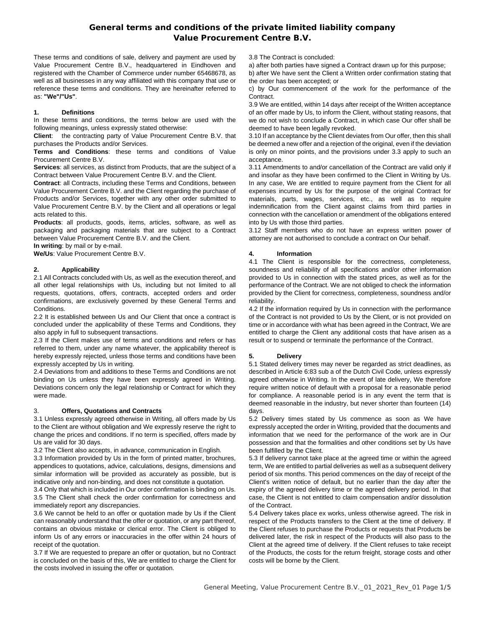# **General terms and conditions of the private limited liability company Value Procurement Centre(HK) Limited. .**

These terms and conditions of sale, delivery and payment are used by Value Procurement Centre(HK) Limited., as well as all businesses in any way affiliated with this company that use or reference these terms and conditions. They are hereinafter referred to as: **"We"/"Us".**

#### **1. Definitions**

In these terms and conditions, the terms below are used with the following meanings, unless expressly stated otherwise:

**Client**: the contracting party of Value Procurement Centre(HK) Limited. . that purchases the Products and/or Services.

**Terms and Conditions**: these terms and conditions of Value Procurement Centre(HK) Limited. .

**Services**: all services, as distinct from Products, that are the subject of a Contract between Value Procurement Centre(HK) Limited. . and the Client. **Contract**: all Contracts, including these Terms and Conditions,

between Value Procurement Centre(HK) Limited. . and the Client regarding the purchase of Products and/or Services, together with any other order submitted to Value Procurement Centre(HK) Limited. . by the Client and all operations or legal acts related to this.

**Products**: all products, goods, items, articles, software, as well as packaging and packaging materials that are subject to a Contract between Value Procurement Centre(HK) Limited. . and the Client. **In writing**: by mail or by e-mail.

**We/Us**: Value Procurement Centre(HK) Limited. .

## **2. Applicability**

2.1 All Contracts concluded with Us, as well as the execution thereof, and all other legal relationships with Us, including but not limited to all requests, quotations, offers, contracts, accepted orders and order confirmations, are exclusively governed by these General Terms and Conditions.

2.2 It is established between Us and Our Client that once a contract is concluded under the applicability of these Terms and Conditions, they also apply in full to subsequent transactions.

2.3 If the Client makes use of terms and conditions and refers or has referred to them, under any name whatever, the applicability thereof is hereby expressly rejected, unless those terms and conditions have been expressly accepted by Us in writing.

2.4 Deviations from and additions to these Terms and Conditions are not binding on Us unless they have been expressly agreed in Writing. Deviations concern only the legal relationship or Contract for which they were made.

#### **3. Offers, Quotations and Contracts**

3.1 Unless expressly agreed otherwise in Writing, all offers made by Us to the Client are without obligation and We expressly reserve the right to change the prices and conditions. If no term is specified, offers made by Us are valid for 30 days.

3.2 The Client also accepts, in advance, communication in English. 3.3 Information provided by Us in the form of printed matter, brochures, appendices to quotations, advice, calculations, designs, dimensions and similar information will be provided as accurately as possible, but is indicative only and non-binding, and does not constitute a quotation. 3.4 Only that which is included in Our order confirmation is binding on Us. 3.5 The Client shall check the order confirmation for correctness and immediately report any discrepancies.

3.6 We cannot be held to an offer or quotation made by Us if the Client can reasonably understand that the offer or quotation, or any part thereof, contains an obvious mistake or clerical error. The Client is obliged to inform Us of any errors or inaccuracies in the offer within 24 hours of receipt of the quotation.

3.7 If We are requested to prepare an offer or quotation, but no Contract is concluded on the basis of this, We are entitled to charge the Client for the costs involved in issuing the offer or quotation.

3.8 The Contract is concluded:

a) after both parties have signed a Contract drawn up for this purpose; b) after We have sent the Client a Written order confirmation stating that the order has been accepted; or

c) by Our commencement of the work for the performance of the Contract.

3.9 We are entitled, within 14 days after receipt of the Written acceptance of an offer made by Us, to inform the Client, without stating reasons, that we do not wish to conclude a Contract, in which case Our offer shall be deemed to have been legally revoked.

3.10 If an acceptance by the Client deviates from Our offer, then this shall be deemed a new offer and a rejection of the original, even if the deviation is only on minor points, and the provisions under 3.3 apply to such an acceptance.

3.11 Amendments to and/or cancellation of the Contract are valid only if and insofar as they have been confirmed to the Client in Writing by Us. In any case, We are entitled to require payment from the Client for all expenses incurred by Us for the purpose of the original Contract for materials, parts, wages, services, etc., as well as to require indemnification from the Client against claims from third parties in connection with the cancellation or amendment of the obligations entered into by Us with those third parties.

3.12 Staff members who do not have an express written power of attorney are not authorised to conclude a contract on Our behalf.

## **4. Information**

4.1 The Client is responsible for the correctness, completeness, soundness and reliability of all specifications and/or other information provided to Us in connection with the stated prices, as well as for the performance of the Contract. We are not obliged to check the information provided by the Client for correctness, completeness, soundness and/or reliability.

4.2 If the information required by Us in connection with the performance of the Contract is not provided to Us by the Client, or is not provided on time or in accordance with what has been agreed in the Contract, We are entitled to charge the Client any additional costs that have arisen as a result or to suspend or terminate the performance of the Contract.

## **5. Delivery**

5.1 Stated delivery times may never be regarded as strict deadlines, unless expressly agreed otherwise in Writing. In the event of late delivery, We therefore require written notice of default with a proposal for a reasonable period for compliance. A reasonable period is in any event the term that is deemed reasonable in the industry, but never shorter than fourteen (14) days.

5.2 Delivery times stated by Us commence as soon as We have expressly accepted the order in Writing, provided that the documents and information that we need for the performance of the work are in Our possession and that the formalities and other conditions set by Us have been fulfilled by the Client.

5.3 If delivery cannot take place at the agreed time or within the agreed term, We are entitled to partial deliveries as well as a subsequent delivery period of six months. This period commences on the day of receipt of the Client's written notice of default, but no earlier than the day after the expiry of the agreed delivery time or the agreed delivery period. In that case, the Client is not entitled to claim compensation and/or dissolution of the Contract.

5.4 Delivery takes place ex works, unless otherwise agreed. The risk in respect of the Products transfers to the Client at the time of delivery. If the Client refuses to purchase the Products or requests that Products be delivered later, the risk in respect of the Products will also pass to the Client at the agreed time of delivery. If the Client refuses to take receipt of the Products, the costs for the return freight, storage costs and other costs will be borne by the Client.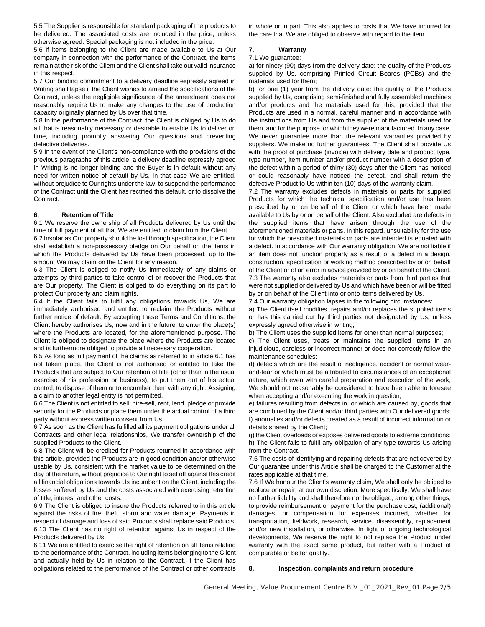5.5 The Supplier is responsible for standard packaging of the products to be delivered. The associated costs are included in the price, unless otherwise agreed. Special packaging is not included in the price.

5.6 If items belonging to the Client are made available to Us at Our company in connection with the performance of the Contract, the items remain at the risk of the Client and the Client shall take out valid insurance in this respect.

5.7 Our binding commitment to a delivery deadline expressly agreed in Writing shall lapse if the Client wishes to amend the specifications of the Contract, unless the negligible significance of the amendment does not reasonably require Us to make any changes to the use of production capacity originally planned by Us over that time.

5.8 In the performance of the Contract, the Client is obliged by Us to do all that is reasonably necessary or desirable to enable Us to deliver on time, including promptly answering Our questions and preventing defective deliveries.

5.9 In the event of the Client's non-compliance with the provisions of the previous paragraphs of this article, a delivery deadline expressly agreed in Writing is no longer binding and the Buyer is in default without any need for written notice of default by Us. In that case We are entitled, without prejudice to Our rights under the law, to suspend the performance of the Contract until the Client has rectified this default, or to dissolve the Contract.

#### **6. Retention of Title**

6.1 We reserve the ownership of all Products delivered by Us until the time of full payment of all that We are entitled to claim from the Client.

6.2 Insofar as Our property should be lost through specification, the Client shall establish a non-possessory pledge on Our behalf on the items in which the Products delivered by Us have been processed, up to the amount We may claim on the Client for any reason.

6.3 The Client is obliged to notify Us immediately of any claims or attempts by third parties to take control of or recover the Products that are Our property. The Client is obliged to do everything on its part to protect Our property and claim rights.

6.4 If the Client fails to fulfil any obligations towards Us, We are immediately authorised and entitled to reclaim the Products without further notice of default. By accepting these Terms and Conditions, the Client hereby authorises Us, now and in the future, to enter the place(s) where the Products are located, for the aforementioned purpose. The Client is obliged to designate the place where the Products are located and is furthermore obliged to provide all necessary cooperation.

6.5 As long as full payment of the claims as referred to in article 6.1 has not taken place, the Client is not authorised or entitled to take the Products that are subject to Our retention of title (other than in the usual exercise of his profession or business), to put them out of his actual control, to dispose of them or to encumber them with any right. Assigning a claim to another legal entity is not permitted.

6.6 The Client is not entitled to sell, hire-sell, rent, lend, pledge or provide security for the Products or place them under the actual control of a third party without express written consent from Us.

6.7 As soon as the Client has fulfilled all its payment obligations under all Contracts and other legal relationships, We transfer ownership of the supplied Products to the Client.

6.8 The Client will be credited for Products returned in accordance with this article, provided the Products are in good condition and/or otherwise usable by Us, consistent with the market value to be determined on the day of the return, without prejudice to Our right to set off against this credit all financial obligations towards Us incumbent on the Client, including the losses suffered by Us and the costs associated with exercising retention of title, interest and other costs.

6.9 The Client is obliged to insure the Products referred to in this article against the risks of fire, theft, storm and water damage. Payments in respect of damage and loss of said Products shall replace said Products. 6.10 The Client has no right of retention against Us in respect of the Products delivered by Us.

6.11 We are entitled to exercise the right of retention on all items relating to the performance of the Contract, including items belonging to the Client and actually held by Us in relation to the Contract, if the Client has obligations related to the performance of the Contract or other contracts

in whole or in part. This also applies to costs that We have incurred for the care that We are obliged to observe with regard to the item.

## **7. Warranty**

#### 7.1 We guarantee:

a) for ninety (90) days from the delivery date: the quality of the Products supplied by Us, comprising Printed Circuit Boards (PCBs) and the materials used for them;

b) for one (1) year from the delivery date: the quality of the Products supplied by Us, comprising semi-finished and fully assembled machines and/or products and the materials used for this; provided that the Products are used in a normal, careful manner and in accordance with the instructions from Us and from the supplier of the materials used for them, and for the purpose for which they were manufactured. In any case, We never guarantee more than the relevant warranties provided by suppliers. We make no further guarantees. The Client shall provide Us with the proof of purchase (invoice) with delivery date and product type, type number, item number and/or product number with a description of the defect within a period of thirty (30) days after the Client has noticed or could reasonably have noticed the defect, and shall return the defective Product to Us within ten (10) days of the warranty claim.

7.2 The warranty excludes defects in materials or parts for supplied Products for which the technical specification and/or use has been prescribed by or on behalf of the Client or which have been made available to Us by or on behalf of the Client. Also excluded are defects in the supplied items that have arisen through the use of the aforementioned materials or parts. In this regard, unsuitability for the use for which the prescribed materials or parts are intended is equated with a defect. In accordance with Our warranty obligation, We are not liable if an item does not function properly as a result of a defect in a design, construction, specification or working method prescribed by or on behalf of the Client or of an error in advice provided by or on behalf of the Client. 7.3 The warranty also excludes materials or parts from third parties that were not supplied or delivered by Us and which have been or will be fitted by or on behalf of the Client into or onto items delivered by Us.

7.4 Our warranty obligation lapses in the following circumstances:

a) The Client itself modifies, repairs and/or replaces the supplied items or has this carried out by third parties not designated by Us, unless expressly agreed otherwise in writing;

b) The Client uses the supplied items for other than normal purposes;

c) The Client uses, treats or maintains the supplied items in an injudicious, careless or incorrect manner or does not correctly follow the maintenance schedules;

d) defects which are the result of negligence, accident or normal wearand-tear or which must be attributed to circumstances of an exceptional nature, which even with careful preparation and execution of the work, We should not reasonably be considered to have been able to foresee when accepting and/or executing the work in question;

e) failures resulting from defects in, or which are caused by, goods that are combined by the Client and/or third parties with Our delivered goods; f) anomalies and/or defects created as a result of incorrect information or details shared by the Client;

g) the Client overloads or exposes delivered goods to extreme conditions; h) The Client fails to fulfil any obligation of any type towards Us arising from the Contract.

7.5 The costs of identifying and repairing defects that are not covered by Our guarantee under this Article shall be charged to the Customer at the rates applicable at that time.

7.6 If We honour the Client's warranty claim, We shall only be obliged to replace or repair, at our own discretion. More specifically, We shall have no further liability and shall therefore not be obliged, among other things, to provide reimbursement or payment for the purchase cost, (additional) damages, or compensation for expenses incurred, whether for transportation, fieldwork, research, service, disassembly, replacement and/or new installation, or otherwise. In light of ongoing technological developments, We reserve the right to not replace the Product under warranty with the exact same product, but rather with a Product of comparable or better quality.

#### **8. Inspection, complaints and return procedure**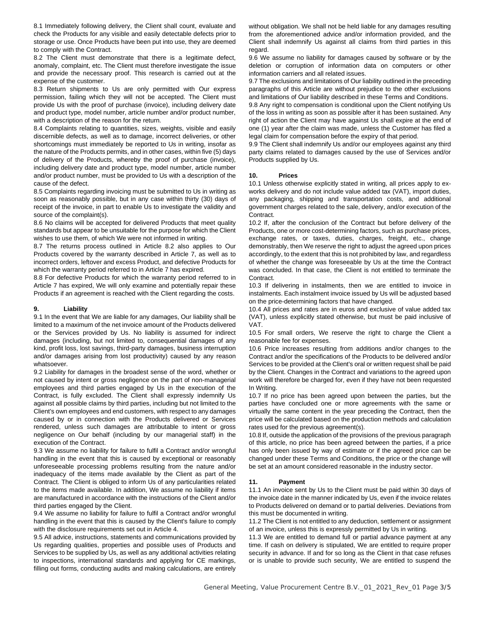8.1 Immediately following delivery, the Client shall count, evaluate and check the Products for any visible and easily detectable defects prior to storage or use. Once Products have been put into use, they are deemed to comply with the Contract.

8.2 The Client must demonstrate that there is a legitimate defect, anomaly, complaint, etc. The Client must therefore investigate the issue and provide the necessary proof. This research is carried out at the expense of the customer.

8.3 Return shipments to Us are only permitted with Our express permission, failing which they will not be accepted. The Client must provide Us with the proof of purchase (invoice), including delivery date and product type, model number, article number and/or product number, with a description of the reason for the return.

8.4 Complaints relating to quantities, sizes, weights, visible and easily discernible defects, as well as to damage, incorrect deliveries, or other shortcomings must immediately be reported to Us in writing, insofar as the nature of the Products permits, and in other cases, within five (5) days of delivery of the Products, whereby the proof of purchase (invoice), including delivery date and product type, model number, article number and/or product number, must be provided to Us with a description of the cause of the defect.

8.5 Complaints regarding invoicing must be submitted to Us in writing as soon as reasonably possible, but in any case within thirty (30) days of receipt of the invoice, in part to enable Us to investigate the validity and source of the complaint(s).

8.6 No claims will be accepted for delivered Products that meet quality standards but appear to be unsuitable for the purpose for which the Client wishes to use them, of which We were not informed in writing.

8.7 The returns process outlined in Article 8.2 also applies to Our Products covered by the warranty described in Article 7, as well as to incorrect orders, leftover and excess Product, and defective Products for which the warranty period referred to in Article 7 has expired.

8.8 For defective Products for which the warranty period referred to in Article 7 has expired, We will only examine and potentially repair these Products if an agreement is reached with the Client regarding the costs.

#### **9. Liability**

9.1 In the event that We are liable for any damages, Our liability shall be limited to a maximum of the net invoice amount of the Products delivered or the Services provided by Us. No liability is assumed for indirect damages (including, but not limited to, consequential damages of any kind, profit loss, lost savings, third-party damages, business interruption and/or damages arising from lost productivity) caused by any reason whatsoever.

9.2 Liability for damages in the broadest sense of the word, whether or not caused by intent or gross negligence on the part of non-managerial employees and third parties engaged by Us in the execution of the Contract, is fully excluded. The Client shall expressly indemnify Us against all possible claims by third parties, including but not limited to the Client's own employees and end customers, with respect to any damages caused by or in connection with the Products delivered or Services rendered, unless such damages are attributable to intent or gross negligence on Our behalf (including by our managerial staff) in the execution of the Contract.

9.3 We assume no liability for failure to fulfil a Contract and/or wrongful handling in the event that this is caused by exceptional or reasonably unforeseeable processing problems resulting from the nature and/or inadequacy of the items made available by the Client as part of the Contract. The Client is obliged to inform Us of any particularities related to the items made available. In addition, We assume no liability if items are manufactured in accordance with the instructions of the Client and/or third parties engaged by the Client.

9.4 We assume no liability for failure to fulfil a Contract and/or wrongful handling in the event that this is caused by the Client's failure to comply with the disclosure requirements set out in Article 4.

9.5 All advice, instructions, statements and communications provided by Us regarding qualities, properties and possible uses of Products and Services to be supplied by Us, as well as any additional activities relating to inspections, international standards and applying for CE markings, filling out forms, conducting audits and making calculations, are entirely

without obligation. We shall not be held liable for any damages resulting from the aforementioned advice and/or information provided, and the Client shall indemnify Us against all claims from third parties in this regard.

9.6 We assume no liability for damages caused by software or by the deletion or corruption of information data on computers or other information carriers and all related issues.

9.7 The exclusions and limitations of Our liability outlined in the preceding paragraphs of this Article are without prejudice to the other exclusions and limitations of Our liability described in these Terms and Conditions.

9.8 Any right to compensation is conditional upon the Client notifying Us of the loss in writing as soon as possible after it has been sustained. Any right of action the Client may have against Us shall expire at the end of one (1) year after the claim was made, unless the Customer has filed a legal claim for compensation before the expiry of that period.

9.9 The Client shall indemnify Us and/or our employees against any third party claims related to damages caused by the use of Services and/or Products supplied by Us.

#### **10. Prices**

10.1 Unless otherwise explicitly stated in writing, all prices apply to exworks delivery and do not include value added tax (VAT), import duties, any packaging, shipping and transportation costs, and additional government charges related to the sale, delivery, and/or execution of the Contract.

10.2 If, after the conclusion of the Contract but before delivery of the Products, one or more cost-determining factors, such as purchase prices, exchange rates, or taxes, duties, charges, freight, etc., change demonstrably, then We reserve the right to adjust the agreed upon prices accordingly, to the extent that this is not prohibited by law, and regardless of whether the change was foreseeable by Us at the time the Contract was concluded. In that case, the Client is not entitled to terminate the Contract.

10.3 If delivering in instalments, then we are entitled to invoice in instalments. Each instalment invoice issued by Us will be adjusted based on the price-determining factors that have changed.

10.4 All prices and rates are in US dollars and exclusive of value added tax (VAT).

10.5 For small orders, We reserve the right to charge the Client a reasonable fee for expenses.

10.6 Price increases resulting from additions and/or changes to the Contract and/or the specifications of the Products to be delivered and/or Services to be provided at the Client's oral or written request shall be paid by the Client. Changes in the Contract and variations to the agreed upon work will therefore be charged for, even if they have not been requested In Writing.

10.7 If no price has been agreed upon between the parties, but the parties have concluded one or more agreements with the same or virtually the same content in the year preceding the Contract, then the price will be calculated based on the production methods and calculation rates used for the previous agreement(s).

10.8 If, outside the application of the provisions of the previous paragraph of this article, no price has been agreed between the parties, if a price has only been issued by way of estimate or if the agreed price can be changed under these Terms and Conditions, the price or the change will be set at an amount considered reasonable in the industry sector.

## **11. Payment**

11.1 An invoice sent by Us to the Client must be paid within 30 days of the invoice date in the manner indicated by Us, even if the invoice relates to Products delivered on demand or to partial deliveries. Deviations from this must be documented in writing.

11.2 The Client is not entitled to any deduction, settlement or assignment of an invoice, unless this is expressly permitted by Us in writing.

11.3 We are entitled to demand full or partial advance payment at any time. If cash on delivery is stipulated, We are entitled to require proper security in advance. If and for so long as the Client in that case refuses or is unable to provide such security, We are entitled to suspend the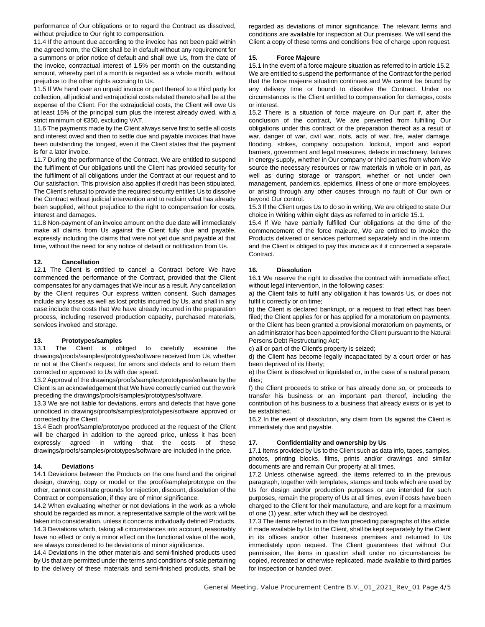performance of Our obligations or to regard the Contract as dissolved, without prejudice to Our right to compensation.

11.4 If the amount due according to the invoice has not been paid within the agreed term, the Client shall be in default without any requirement for a summons or prior notice of default and shall owe Us, from the date of the invoice, contractual interest of 1.5% per month on the outstanding amount, whereby part of a month is regarded as a whole month, without prejudice to the other rights accruing to Us.

11.5 If We hand over an unpaid invoice or part thereof to a third party for collection, all judicial and extrajudicial costs related thereto shall be at the expense of the Client. For the extrajudicial costs, the Client will owe Us at least 15% of the principal sum plus the interest already owed, with a strict minimum of €350, excluding VAT.

11.6 The payments made by the Client always serve first to settle all costs and interest owed and then to settle due and payable invoices that have been outstanding the longest, even if the Client states that the payment is for a later invoice.

11.7 During the performance of the Contract, We are entitled to suspend the fulfilment of Our obligations until the Client has provided security for the fulfilment of all obligations under the Contract at our request and to Our satisfaction. This provision also applies if credit has been stipulated. The Client's refusal to provide the required security entitles Us to dissolve the Contract without judicial intervention and to reclaim what has already been supplied, without prejudice to the right to compensation for costs, interest and damages.

11.8 Non-payment of an invoice amount on the due date will immediately make all claims from Us against the Client fully due and payable, expressly including the claims that were not yet due and payable at that time, without the need for any notice of default or notification from Us.

## **12. Cancellation**

12.1 The Client is entitled to cancel a Contract before We have commenced the performance of the Contract, provided that the Client compensates for any damages that We incur as a result. Any cancellation by the Client requires Our express written consent. Such damages include any losses as well as lost profits incurred by Us, and shall in any case include the costs that We have already incurred in the preparation process, including reserved production capacity, purchased materials, services invoked and storage.

## **13. Prototypes/samples**

13.1 The Client is obliged to carefully examine the drawings/proofs/samples/prototypes/software received from Us, whether or not at the Client's request, for errors and defects and to return them corrected or approved to Us with due speed.

13.2 Approval of the drawings/proofs/samples/prototypes/software by the Client is an acknowledgement that We have correctly carried out the work preceding the drawings/proofs/samples/prototypes/software.

13.3 We are not liable for deviations, errors and defects that have gone unnoticed in drawings/proofs/samples/prototypes/software approved or corrected by the Client.

13.4 Each proof/sample/prototype produced at the request of the Client will be charged in addition to the agreed price, unless it has been expressly agreed in writing that the costs of these drawings/proofs/samples/prototypes/software are included in the price.

## **14. Deviations**

14.1 Deviations between the Products on the one hand and the original design, drawing, copy or model or the proof/sample/prototype on the other, cannot constitute grounds for rejection, discount, dissolution of the Contract or compensation, if they are of minor significance.

14.2 When evaluating whether or not deviations in the work as a whole should be regarded as minor, a representative sample of the work will be taken into consideration, unless it concerns individually defined Products. 14.3 Deviations which, taking all circumstances into account, reasonably have no effect or only a minor effect on the functional value of the work, are always considered to be deviations of minor significance.

14.4 Deviations in the other materials and semi-finished products used by Us that are permitted under the terms and conditions of sale pertaining to the delivery of these materials and semi-finished products, shall be

regarded as deviations of minor significance. The relevant terms and conditions are available for inspection at Our premises. We will send the Client a copy of these terms and conditions free of charge upon request.

## **15. Force Majeure**

15.1 In the event of a force majeure situation as referred to in article 15.2, We are entitled to suspend the performance of the Contract for the period that the force majeure situation continues and We cannot be bound by any delivery time or bound to dissolve the Contract. Under no circumstances is the Client entitled to compensation for damages, costs or interest.

15.2 There is a situation of force majeure on Our part if, after the conclusion of the contract, We are prevented from fulfilling Our obligations under this contract or the preparation thereof as a result of war, danger of war, civil war, riots, acts of war, fire, water damage, flooding, strikes, company occupation, lockout, import and export barriers, government and legal measures, defects in machinery, failures in energy supply, whether in Our company or third parties from whom We source the necessary resources or raw materials in whole or in part, as well as during storage or transport, whether or not under own management, pandemics, epidemics, illness of one or more employees, or arising through any other causes through no fault of Our own or beyond Our control.

15.3 If the Client urges Us to do so in writing, We are obliged to state Our choice in Writing within eight days as referred to in article 15.1.

15.4 If We have partially fulfilled Our obligations at the time of the commencement of the force majeure, We are entitled to invoice the Products delivered or services performed separately and in the interim, and the Client is obliged to pay this invoice as if it concerned a separate Contract.

#### **16. Dissolution**

16.1 We reserve the right to dissolve the contract with immediate effect, without legal intervention, in the following cases:

a) the Client fails to fulfil any obligation it has towards Us, or does not fulfil it correctly or on time;

b) the Client is declared bankrupt, or a request to that effect has been filed; the Client applies for or has applied for a moratorium on payments; or the Client has been granted a provisional moratorium on payments, or an administrator has been appointed for the Client pursuant to the Natural Persons Debt Restructuring Act;

c) all or part of the Client's property is seized;

d) the Client has become legally incapacitated by a court order or has been deprived of its liberty;

e) the Client is dissolved or liquidated or, in the case of a natural person, dies;

f) the Client proceeds to strike or has already done so, or proceeds to transfer his business or an important part thereof, including the contribution of his business to a business that already exists or is yet to be established.

16.2 In the event of dissolution, any claim from Us against the Client is immediately due and payable.

## **17. Confidentiality and ownership by Us**

17.1 Items provided by Us to the Client such as data info, tapes, samples, photos, printing blocks, films, prints and/or drawings and similar documents are and remain Our property at all times.

17.2 Unless otherwise agreed, the items referred to in the previous paragraph, together with templates, stamps and tools which are used by Us for design and/or production purposes or are intended for such purposes, remain the property of Us at all times, even if costs have been charged to the Client for their manufacture, and are kept for a maximum of one (1) year, after which they will be destroyed.

17.3 The items referred to in the two preceding paragraphs of this article, if made available by Us to the Client, shall be kept separately by the Client in its offices and/or other business premises and returned to Us immediately upon request. The Client guarantees that without Our permission, the items in question shall under no circumstances be copied, recreated or otherwise replicated, made available to third parties for inspection or handed over.